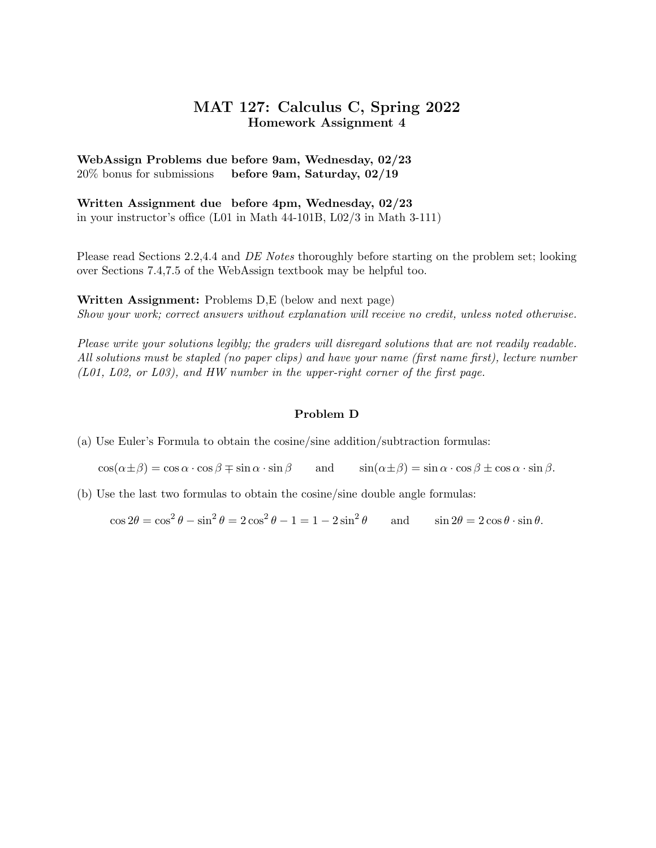## MAT 127: Calculus C, Spring 2022 Homework Assignment 4

## WebAssign Problems due before 9am, Wednesday, 02/23 20% bonus for submissions before 9am, Saturday, 02/19

Written Assignment due before 4pm, Wednesday, 02/23 in your instructor's office (L01 in Math 44-101B, L02/3 in Math 3-111)

Please read Sections 2.2,4.4 and DE Notes thoroughly before starting on the problem set; looking over Sections 7.4,7.5 of the WebAssign textbook may be helpful too.

Written Assignment: Problems D,E (below and next page) Show your work; correct answers without explanation will receive no credit, unless noted otherwise.

Please write your solutions legibly; the graders will disregard solutions that are not readily readable. All solutions must be stapled (no paper clips) and have your name (first name first), lecture number (L01, L02, or L03), and HW number in the upper-right corner of the first page.

## Problem D

(a) Use Euler's Formula to obtain the cosine/sine addition/subtraction formulas:

 $\cos(\alpha \pm \beta) = \cos \alpha \cdot \cos \beta \mp \sin \alpha \cdot \sin \beta$  and  $\sin(\alpha \pm \beta) = \sin \alpha \cdot \cos \beta \pm \cos \alpha \cdot \sin \beta$ .

(b) Use the last two formulas to obtain the cosine/sine double angle formulas:

 $\cos 2\theta = \cos^2 \theta - \sin^2 \theta = 2 \cos^2 \theta - 1 = 1 - 2 \sin^2 \theta$ and  $\sin 2\theta = 2\cos \theta \cdot \sin \theta$ .